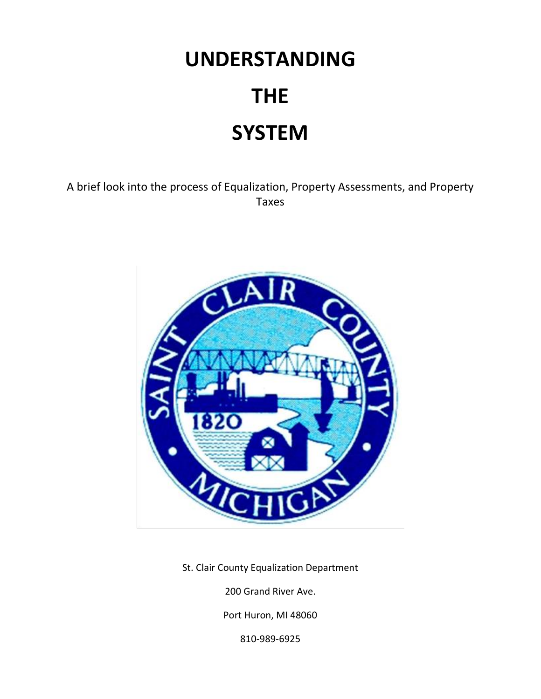# **UNDERSTANDING THE SYSTEM**

A brief look into the process of Equalization, Property Assessments, and Property Taxes



St. Clair County Equalization Department

200 Grand River Ave.

Port Huron, MI 48060

810-989-6925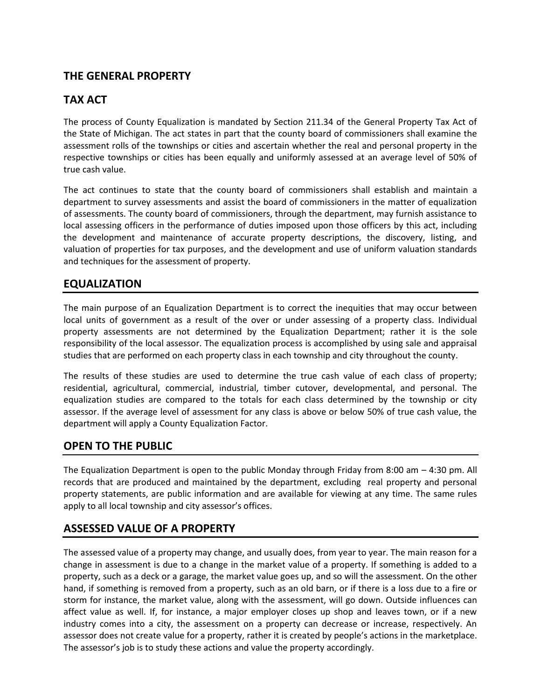# **THE GENERAL PROPERTY**

# **TAX ACT**

The process of County Equalization is mandated by Section 211.34 of the General Property Tax Act of the State of Michigan. The act states in part that the county board of commissioners shall examine the assessment rolls of the townships or cities and ascertain whether the real and personal property in the respective townships or cities has been equally and uniformly assessed at an average level of 50% of true cash value.

The act continues to state that the county board of commissioners shall establish and maintain a department to survey assessments and assist the board of commissioners in the matter of equalization of assessments. The county board of commissioners, through the department, may furnish assistance to local assessing officers in the performance of duties imposed upon those officers by this act, including the development and maintenance of accurate property descriptions, the discovery, listing, and valuation of properties for tax purposes, and the development and use of uniform valuation standards and techniques for the assessment of property.

#### **EQUALIZATION**

The main purpose of an Equalization Department is to correct the inequities that may occur between local units of government as a result of the over or under assessing of a property class. Individual property assessments are not determined by the Equalization Department; rather it is the sole responsibility of the local assessor. The equalization process is accomplished by using sale and appraisal studies that are performed on each property class in each township and city throughout the county.

The results of these studies are used to determine the true cash value of each class of property; residential, agricultural, commercial, industrial, timber cutover, developmental, and personal. The equalization studies are compared to the totals for each class determined by the township or city assessor. If the average level of assessment for any class is above or below 50% of true cash value, the department will apply a County Equalization Factor.

## **OPEN TO THE PUBLIC**

The Equalization Department is open to the public Monday through Friday from 8:00 am – 4:30 pm. All records that are produced and maintained by the department, excluding real property and personal property statements, are public information and are available for viewing at any time. The same rules apply to all local township and city assessor's offices.

## **ASSESSED VALUE OF A PROPERTY**

The assessed value of a property may change, and usually does, from year to year. The main reason for a change in assessment is due to a change in the market value of a property. If something is added to a property, such as a deck or a garage, the market value goes up, and so will the assessment. On the other hand, if something is removed from a property, such as an old barn, or if there is a loss due to a fire or storm for instance, the market value, along with the assessment, will go down. Outside influences can affect value as well. If, for instance, a major employer closes up shop and leaves town, or if a new industry comes into a city, the assessment on a property can decrease or increase, respectively. An assessor does not create value for a property, rather it is created by people's actions in the marketplace. The assessor's job is to study these actions and value the property accordingly.